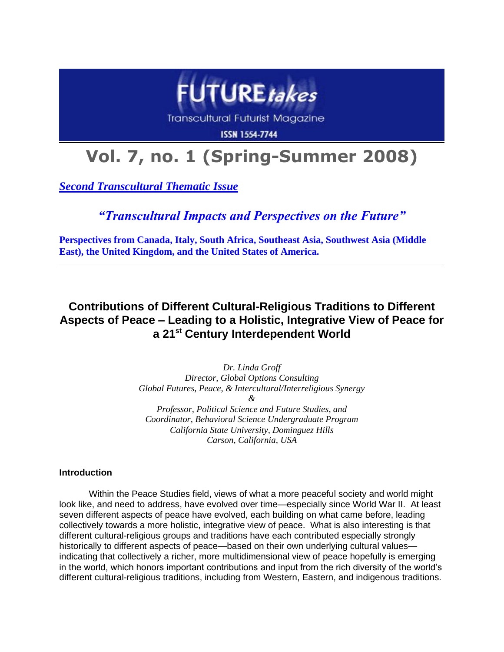

Transcultural Futurist Magazine

**ISSN 1554-7744** 

# **Vol. 7, no. 1 (Spring-Summer 2008)**

*Second Transcultural Thematic Issue*

*"Transcultural Impacts and Perspectives on the Future"*

**Perspectives from Canada, Italy, South Africa, Southeast Asia, Southwest Asia (Middle East), the United Kingdom, and the United States of America.**

# **Contributions of Different Cultural-Religious Traditions to Different Aspects of Peace – Leading to a Holistic, Integrative View of Peace for a 21st Century Interdependent World**

*Dr. Linda Groff Director, Global Options Consulting Global Futures, Peace, & Intercultural/Interreligious Synergy &*

*Professor, Political Science and Future Studies, and Coordinator, Behavioral Science Undergraduate Program California State University, Dominguez Hills Carson, California, USA*

# **Introduction**

Within the Peace Studies field, views of what a more peaceful society and world might look like, and need to address, have evolved over time—especially since World War II. At least seven different aspects of peace have evolved, each building on what came before, leading collectively towards a more holistic, integrative view of peace. What is also interesting is that different cultural-religious groups and traditions have each contributed especially strongly historically to different aspects of peace—based on their own underlying cultural values indicating that collectively a richer, more multidimensional view of peace hopefully is emerging in the world, which honors important contributions and input from the rich diversity of the world's different cultural-religious traditions, including from Western, Eastern, and indigenous traditions.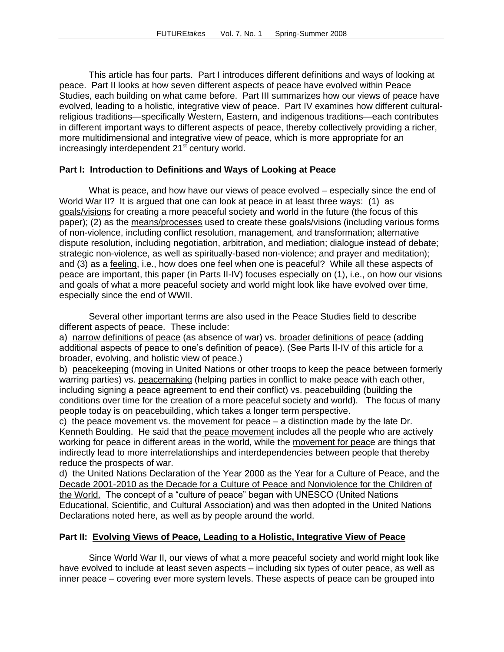This article has four parts. Part I introduces different definitions and ways of looking at peace. Part II looks at how seven different aspects of peace have evolved within Peace Studies, each building on what came before. Part III summarizes how our views of peace have evolved, leading to a holistic, integrative view of peace. Part IV examines how different culturalreligious traditions—specifically Western, Eastern, and indigenous traditions—each contributes in different important ways to different aspects of peace, thereby collectively providing a richer, more multidimensional and integrative view of peace, which is more appropriate for an increasingly interdependent 21<sup>st</sup> century world.

# **Part I: Introduction to Definitions and Ways of Looking at Peace**

What is peace, and how have our views of peace evolved – especially since the end of World War II? It is argued that one can look at peace in at least three ways: (1) as goals/visions for creating a more peaceful society and world in the future (the focus of this paper); (2) as the means/processes used to create these goals/visions (including various forms of non-violence, including conflict resolution, management, and transformation; alternative dispute resolution, including negotiation, arbitration, and mediation; dialogue instead of debate; strategic non-violence, as well as spiritually-based non-violence; and prayer and meditation); and (3) as a feeling, i.e., how does one feel when one is peaceful? While all these aspects of peace are important, this paper (in Parts II-IV) focuses especially on (1), i.e., on how our visions and goals of what a more peaceful society and world might look like have evolved over time, especially since the end of WWII.

Several other important terms are also used in the Peace Studies field to describe different aspects of peace. These include:

a) narrow definitions of peace (as absence of war) vs. broader definitions of peace (adding additional aspects of peace to one's definition of peace). (See Parts II-IV of this article for a broader, evolving, and holistic view of peace.)

b) peacekeeping (moving in United Nations or other troops to keep the peace between formerly warring parties) vs. peacemaking (helping parties in conflict to make peace with each other, including signing a peace agreement to end their conflict) vs. peacebuilding (building the conditions over time for the creation of a more peaceful society and world). The focus of many people today is on peacebuilding, which takes a longer term perspective.

c) the peace movement vs. the movement for peace – a distinction made by the late Dr. Kenneth Boulding. He said that the peace movement includes all the people who are actively working for peace in different areas in the world, while the movement for peace are things that indirectly lead to more interrelationships and interdependencies between people that thereby reduce the prospects of war.

d) the United Nations Declaration of the Year 2000 as the Year for a Culture of Peace, and the Decade 2001-2010 as the Decade for a Culture of Peace and Nonviolence for the Children of the World. The concept of a "culture of peace" began with UNESCO (United Nations Educational, Scientific, and Cultural Association) and was then adopted in the United Nations Declarations noted here, as well as by people around the world.

#### **Part II: Evolving Views of Peace, Leading to a Holistic, Integrative View of Peace**

Since World War II, our views of what a more peaceful society and world might look like have evolved to include at least seven aspects – including six types of outer peace, as well as inner peace – covering ever more system levels. These aspects of peace can be grouped into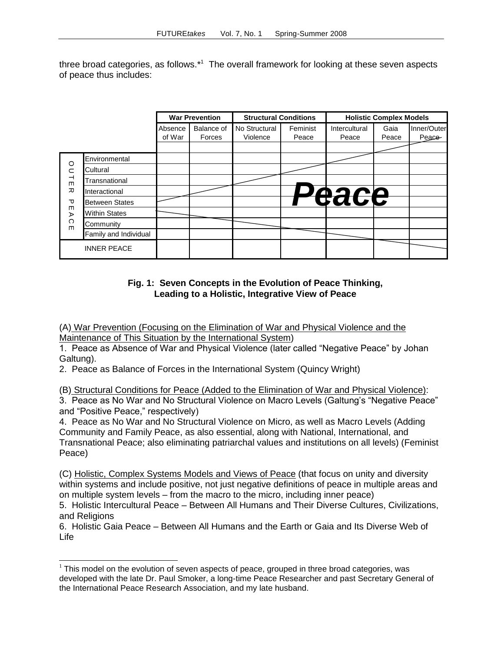three broad categories, as follows.\*1 The overall framework for looking at these seven aspects of peace thus includes:

|                                                                |                       | <b>War Prevention</b> |                      | <b>Structural Conditions</b> |                   | <b>Holistic Complex Models</b> |               |                      |
|----------------------------------------------------------------|-----------------------|-----------------------|----------------------|------------------------------|-------------------|--------------------------------|---------------|----------------------|
|                                                                |                       | Absence<br>of War     | Balance of<br>Forces | No Structural<br>Violence    | Feminist<br>Peace | Intercultural<br>Peace         | Gaia<br>Peace | Inner/Outer<br>Peace |
|                                                                |                       |                       |                      |                              |                   |                                |               |                      |
| $\circ$<br>C<br>ᅴ<br>$\blacksquare$<br>观<br>᠊ᠣ<br>$\mathsf{m}$ | Environmental         |                       |                      |                              |                   |                                |               |                      |
|                                                                | Cultural              |                       |                      |                              |                   |                                |               |                      |
|                                                                | Transnational         |                       |                      |                              |                   |                                |               |                      |
|                                                                | Interactional         |                       |                      |                              |                   | Peace                          |               |                      |
|                                                                | <b>Between States</b> |                       |                      |                              |                   |                                |               |                      |
| ъ                                                              | <b>Within States</b>  |                       |                      |                              |                   |                                |               |                      |
| O<br>$\blacksquare$                                            | Community             |                       |                      |                              |                   |                                |               |                      |
|                                                                | Family and Individual |                       |                      |                              |                   |                                |               |                      |
|                                                                | <b>INNER PEACE</b>    |                       |                      |                              |                   |                                |               |                      |

# **Fig. 1: Seven Concepts in the Evolution of Peace Thinking, Leading to a Holistic, Integrative View of Peace**

(A) War Prevention (Focusing on the Elimination of War and Physical Violence and the Maintenance of This Situation by the International System)

1. Peace as Absence of War and Physical Violence (later called "Negative Peace" by Johan Galtung).

2. Peace as Balance of Forces in the International System (Quincy Wright)

 $\overline{a}$ 

(B) Structural Conditions for Peace (Added to the Elimination of War and Physical Violence): 3. Peace as No War and No Structural Violence on Macro Levels (Galtung's "Negative Peace" and "Positive Peace," respectively)

4. Peace as No War and No Structural Violence on Micro, as well as Macro Levels (Adding Community and Family Peace, as also essential, along with National, International, and Transnational Peace; also eliminating patriarchal values and institutions on all levels) (Feminist Peace)

(C) Holistic, Complex Systems Models and Views of Peace (that focus on unity and diversity within systems and include positive, not just negative definitions of peace in multiple areas and on multiple system levels – from the macro to the micro, including inner peace)

5. Holistic Intercultural Peace – Between All Humans and Their Diverse Cultures, Civilizations, and Religions

6. Holistic Gaia Peace – Between All Humans and the Earth or Gaia and Its Diverse Web of Life

 $1$  This model on the evolution of seven aspects of peace, grouped in three broad categories, was developed with the late Dr. Paul Smoker, a long-time Peace Researcher and past Secretary General of the International Peace Research Association, and my late husband.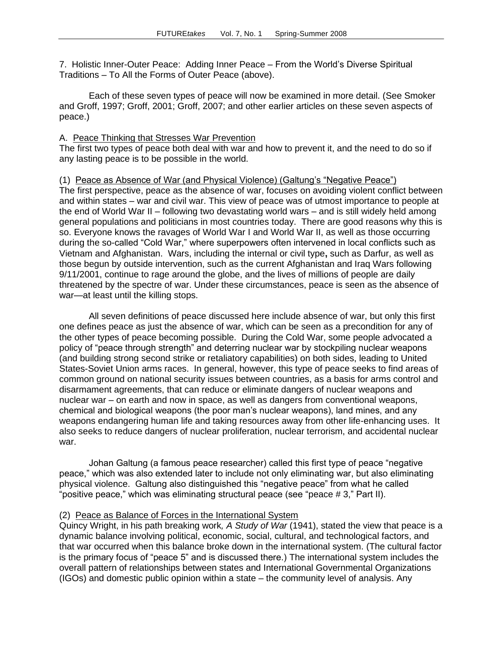7. Holistic Inner-Outer Peace: Adding Inner Peace – From the World's Diverse Spiritual Traditions – To All the Forms of Outer Peace (above).

Each of these seven types of peace will now be examined in more detail. (See Smoker and Groff, 1997; Groff, 2001; Groff, 2007; and other earlier articles on these seven aspects of peace.)

#### A. Peace Thinking that Stresses War Prevention

The first two types of peace both deal with war and how to prevent it, and the need to do so if any lasting peace is to be possible in the world.

#### (1) Peace as Absence of War (and Physical Violence) (Galtung's "Negative Peace")

The first perspective, peace as the absence of war, focuses on avoiding violent conflict between and within states – war and civil war. This view of peace was of utmost importance to people at the end of World War II – following two devastating world wars – and is still widely held among general populations and politicians in most countries today. There are good reasons why this is so. Everyone knows the ravages of World War I and World War II, as well as those occurring during the so-called "Cold War," where superpowers often intervened in local conflicts such as Vietnam and Afghanistan. Wars, including the internal or civil type**,** such as Darfur, as well as those begun by outside intervention, such as the current Afghanistan and Iraq Wars following 9/11/2001, continue to rage around the globe, and the lives of millions of people are daily threatened by the spectre of war. Under these circumstances, peace is seen as the absence of war—at least until the killing stops.

All seven definitions of peace discussed here include absence of war, but only this first one defines peace as just the absence of war, which can be seen as a precondition for any of the other types of peace becoming possible. During the Cold War, some people advocated a policy of "peace through strength" and deterring nuclear war by stockpiling nuclear weapons (and building strong second strike or retaliatory capabilities) on both sides, leading to United States-Soviet Union arms races. In general, however, this type of peace seeks to find areas of common ground on national security issues between countries, as a basis for arms control and disarmament agreements, that can reduce or eliminate dangers of nuclear weapons and nuclear war – on earth and now in space, as well as dangers from conventional weapons, chemical and biological weapons (the poor man's nuclear weapons), land mines, and any weapons endangering human life and taking resources away from other life-enhancing uses. It also seeks to reduce dangers of nuclear proliferation, nuclear terrorism, and accidental nuclear war.

Johan Galtung (a famous peace researcher) called this first type of peace "negative peace." which was also extended later to include not only eliminating war, but also eliminating physical violence. Galtung also distinguished this "negative peace" from what he called "positive peace," which was eliminating structural peace (see "peace # 3," Part II).

#### (2) Peace as Balance of Forces in the International System

Quincy Wright, in his path breaking work*, A Study of War* (1941), stated the view that peace is a dynamic balance involving political, economic, social, cultural, and technological factors, and that war occurred when this balance broke down in the international system. (The cultural factor is the primary focus of "peace 5" and is discussed there.) The international system includes the overall pattern of relationships between states and International Governmental Organizations (IGOs) and domestic public opinion within a state – the community level of analysis. Any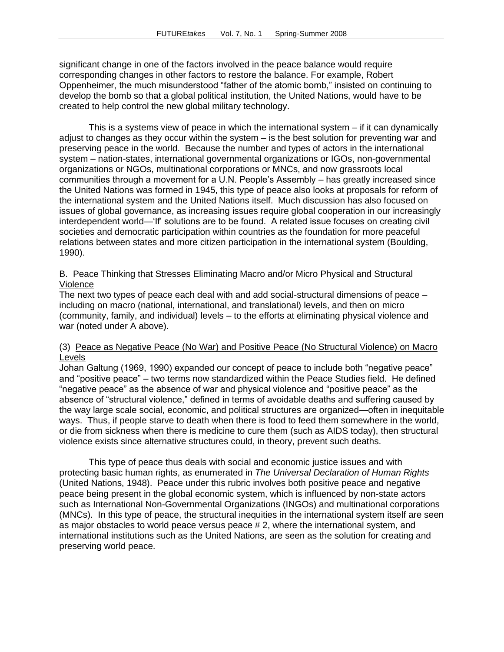significant change in one of the factors involved in the peace balance would require corresponding changes in other factors to restore the balance. For example, Robert Oppenheimer, the much misunderstood "father of the atomic bomb," insisted on continuing to develop the bomb so that a global political institution, the United Nations, would have to be created to help control the new global military technology.

This is a systems view of peace in which the international system – if it can dynamically adjust to changes as they occur within the system – is the best solution for preventing war and preserving peace in the world. Because the number and types of actors in the international system – nation-states, international governmental organizations or IGOs, non-governmental organizations or NGOs, multinational corporations or MNCs, and now grassroots local communities through a movement for a U.N. People's Assembly – has greatly increased since the United Nations was formed in 1945, this type of peace also looks at proposals for reform of the international system and the United Nations itself. Much discussion has also focused on issues of global governance, as increasing issues require global cooperation in our increasingly interdependent world—‗If' solutions are to be found. A related issue focuses on creating civil societies and democratic participation within countries as the foundation for more peaceful relations between states and more citizen participation in the international system (Boulding, 1990).

# B. Peace Thinking that Stresses Eliminating Macro and/or Micro Physical and Structural Violence

The next two types of peace each deal with and add social-structural dimensions of peace – including on macro (national, international, and translational) levels, and then on micro (community, family, and individual) levels – to the efforts at eliminating physical violence and war (noted under A above).

# (3) Peace as Negative Peace (No War) and Positive Peace (No Structural Violence) on Macro Levels

Johan Galtung (1969, 1990) expanded our concept of peace to include both "negative peace" and "positive peace" – two terms now standardized within the Peace Studies field. He defined "negative peace" as the absence of war and physical violence and "positive peace" as the absence of "structural violence," defined in terms of avoidable deaths and suffering caused by the way large scale social, economic, and political structures are organized—often in inequitable ways. Thus, if people starve to death when there is food to feed them somewhere in the world, or die from sickness when there is medicine to cure them (such as AIDS today), then structural violence exists since alternative structures could, in theory, prevent such deaths.

This type of peace thus deals with social and economic justice issues and with protecting basic human rights, as enumerated in *The Universal Declaration of Human Rights* (United Nations, 1948). Peace under this rubric involves both positive peace and negative peace being present in the global economic system, which is influenced by non-state actors such as International Non-Governmental Organizations (INGOs) and multinational corporations (MNCs). In this type of peace, the structural inequities in the international system itself are seen as major obstacles to world peace versus peace # 2, where the international system, and international institutions such as the United Nations, are seen as the solution for creating and preserving world peace.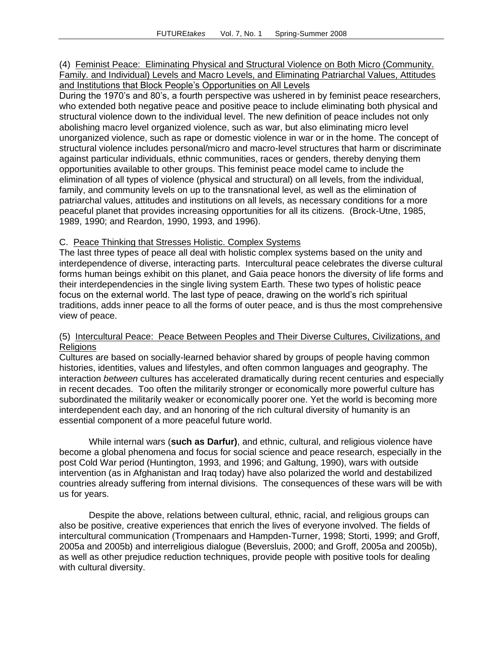(4) Feminist Peace: Eliminating Physical and Structural Violence on Both Micro (Community. Family. and Individual) Levels and Macro Levels, and Eliminating Patriarchal Values, Attitudes and Institutions that Block People's Opportunities on All Levels

During the 1970's and 80's, a fourth perspective was ushered in by feminist peace researchers, who extended both negative peace and positive peace to include eliminating both physical and structural violence down to the individual level. The new definition of peace includes not only abolishing macro level organized violence, such as war, but also eliminating micro level unorganized violence, such as rape or domestic violence in war or in the home. The concept of structural violence includes personal/micro and macro-level structures that harm or discriminate against particular individuals, ethnic communities, races or genders, thereby denying them opportunities available to other groups. This feminist peace model came to include the elimination of all types of violence (physical and structural) on all levels, from the individual, family, and community levels on up to the transnational level, as well as the elimination of patriarchal values, attitudes and institutions on all levels, as necessary conditions for a more peaceful planet that provides increasing opportunities for all its citizens. (Brock-Utne, 1985, 1989, 1990; and Reardon, 1990, 1993, and 1996).

#### C. Peace Thinking that Stresses Holistic. Complex Systems

The last three types of peace all deal with holistic complex systems based on the unity and interdependence of diverse, interacting parts. Intercultural peace celebrates the diverse cultural forms human beings exhibit on this planet, and Gaia peace honors the diversity of life forms and their interdependencies in the single living system Earth. These two types of holistic peace focus on the external world. The last type of peace, drawing on the world's rich spiritual traditions, adds inner peace to all the forms of outer peace, and is thus the most comprehensive view of peace.

#### (5) Intercultural Peace: Peace Between Peoples and Their Diverse Cultures, Civilizations, and **Religions**

Cultures are based on socially-learned behavior shared by groups of people having common histories, identities, values and lifestyles, and often common languages and geography. The interaction *between* cultures has accelerated dramatically during recent centuries and especially in recent decades. Too often the militarily stronger or economically more powerful culture has subordinated the militarily weaker or economically poorer one. Yet the world is becoming more interdependent each day, and an honoring of the rich cultural diversity of humanity is an essential component of a more peaceful future world.

While internal wars (**such as Darfur)**, and ethnic, cultural, and religious violence have become a global phenomena and focus for social science and peace research, especially in the post Cold War period (Huntington, 1993, and 1996; and Galtung, 1990), wars with outside intervention (as in Afghanistan and Iraq today) have also polarized the world and destabilized countries already suffering from internal divisions. The consequences of these wars will be with us for years.

Despite the above, relations between cultural, ethnic, racial, and religious groups can also be positive, creative experiences that enrich the lives of everyone involved. The fields of intercultural communication (Trompenaars and Hampden-Turner, 1998; Storti, 1999; and Groff, 2005a and 2005b) and interreligious dialogue (Beversluis, 2000; and Groff, 2005a and 2005b), as well as other prejudice reduction techniques, provide people with positive tools for dealing with cultural diversity.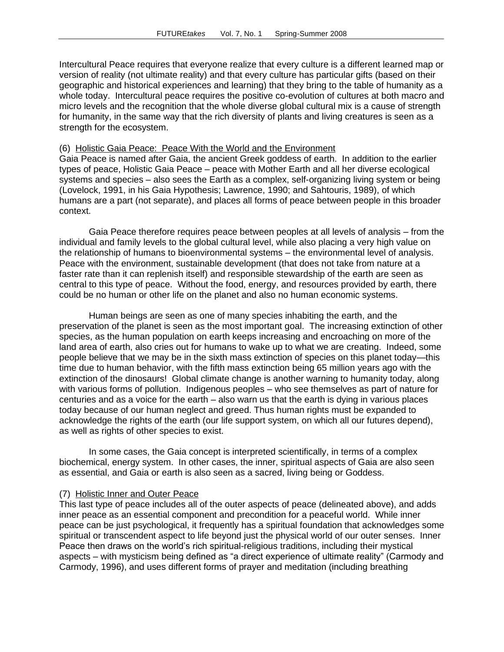Intercultural Peace requires that everyone realize that every culture is a different learned map or version of reality (not ultimate reality) and that every culture has particular gifts (based on their geographic and historical experiences and learning) that they bring to the table of humanity as a whole today. Intercultural peace requires the positive co-evolution of cultures at both macro and micro levels and the recognition that the whole diverse global cultural mix is a cause of strength for humanity, in the same way that the rich diversity of plants and living creatures is seen as a strength for the ecosystem.

#### (6) Holistic Gaia Peace: Peace With the World and the Environment

Gaia Peace is named after Gaia, the ancient Greek goddess of earth. In addition to the earlier types of peace, Holistic Gaia Peace – peace with Mother Earth and all her diverse ecological systems and species – also sees the Earth as a complex, self-organizing living system or being (Lovelock, 1991, in his Gaia Hypothesis; Lawrence, 1990; and Sahtouris, 1989), of which humans are a part (not separate), and places all forms of peace between people in this broader context.

Gaia Peace therefore requires peace between peoples at all levels of analysis – from the individual and family levels to the global cultural level, while also placing a very high value on the relationship of humans to bioenvironmental systems – the environmental level of analysis. Peace with the environment, sustainable development (that does not take from nature at a faster rate than it can replenish itself) and responsible stewardship of the earth are seen as central to this type of peace. Without the food, energy, and resources provided by earth, there could be no human or other life on the planet and also no human economic systems.

Human beings are seen as one of many species inhabiting the earth, and the preservation of the planet is seen as the most important goal. The increasing extinction of other species, as the human population on earth keeps increasing and encroaching on more of the land area of earth, also cries out for humans to wake up to what we are creating. Indeed, some people believe that we may be in the sixth mass extinction of species on this planet today—this time due to human behavior, with the fifth mass extinction being 65 million years ago with the extinction of the dinosaurs! Global climate change is another warning to humanity today, along with various forms of pollution. Indigenous peoples – who see themselves as part of nature for centuries and as a voice for the earth – also warn us that the earth is dying in various places today because of our human neglect and greed. Thus human rights must be expanded to acknowledge the rights of the earth (our life support system, on which all our futures depend), as well as rights of other species to exist.

In some cases, the Gaia concept is interpreted scientifically, in terms of a complex biochemical, energy system. In other cases, the inner, spiritual aspects of Gaia are also seen as essential, and Gaia or earth is also seen as a sacred, living being or Goddess.

#### (7) Holistic Inner and Outer Peace

This last type of peace includes all of the outer aspects of peace (delineated above), and adds inner peace as an essential component and precondition for a peaceful world. While inner peace can be just psychological, it frequently has a spiritual foundation that acknowledges some spiritual or transcendent aspect to life beyond just the physical world of our outer senses. Inner Peace then draws on the world's rich spiritual-religious traditions, including their mystical aspects – with mysticism being defined as "a direct experience of ultimate reality" (Carmody and Carmody, 1996), and uses different forms of prayer and meditation (including breathing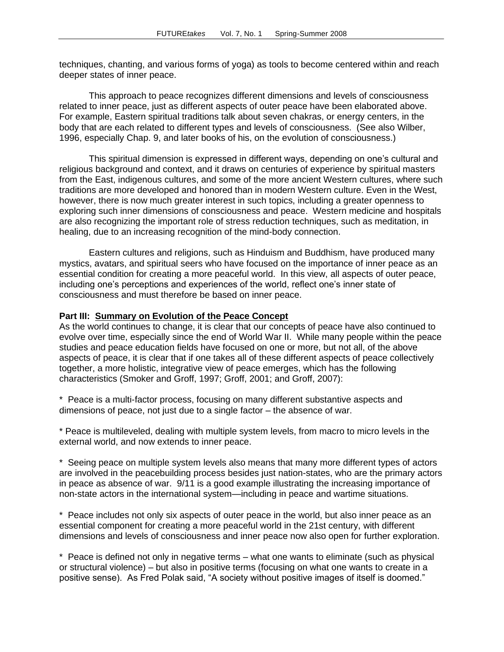techniques, chanting, and various forms of yoga) as tools to become centered within and reach deeper states of inner peace.

This approach to peace recognizes different dimensions and levels of consciousness related to inner peace, just as different aspects of outer peace have been elaborated above. For example, Eastern spiritual traditions talk about seven chakras, or energy centers, in the body that are each related to different types and levels of consciousness. (See also Wilber, 1996, especially Chap. 9, and later books of his, on the evolution of consciousness.)

This spiritual dimension is expressed in different ways, depending on one's cultural and religious background and context, and it draws on centuries of experience by spiritual masters from the East, indigenous cultures, and some of the more ancient Western cultures, where such traditions are more developed and honored than in modern Western culture. Even in the West, however, there is now much greater interest in such topics, including a greater openness to exploring such inner dimensions of consciousness and peace. Western medicine and hospitals are also recognizing the important role of stress reduction techniques, such as meditation, in healing, due to an increasing recognition of the mind-body connection.

Eastern cultures and religions, such as Hinduism and Buddhism, have produced many mystics, avatars, and spiritual seers who have focused on the importance of inner peace as an essential condition for creating a more peaceful world. In this view, all aspects of outer peace, including one's perceptions and experiences of the world, reflect one's inner state of consciousness and must therefore be based on inner peace.

#### **Part III: Summary on Evolution of the Peace Concept**

As the world continues to change, it is clear that our concepts of peace have also continued to evolve over time, especially since the end of World War II. While many people within the peace studies and peace education fields have focused on one or more, but not all, of the above aspects of peace, it is clear that if one takes all of these different aspects of peace collectively together, a more holistic, integrative view of peace emerges, which has the following characteristics (Smoker and Groff, 1997; Groff, 2001; and Groff, 2007):

\* Peace is a multi-factor process, focusing on many different substantive aspects and dimensions of peace, not just due to a single factor – the absence of war.

\* Peace is multileveled, dealing with multiple system levels, from macro to micro levels in the external world, and now extends to inner peace.

\* Seeing peace on multiple system levels also means that many more different types of actors are involved in the peacebuilding process besides just nation-states, who are the primary actors in peace as absence of war. 9/11 is a good example illustrating the increasing importance of non-state actors in the international system—including in peace and wartime situations.

\* Peace includes not only six aspects of outer peace in the world, but also inner peace as an essential component for creating a more peaceful world in the 21st century, with different dimensions and levels of consciousness and inner peace now also open for further exploration.

\* Peace is defined not only in negative terms – what one wants to eliminate (such as physical or structural violence) – but also in positive terms (focusing on what one wants to create in a positive sense). As Fred Polak said, "A society without positive images of itself is doomed."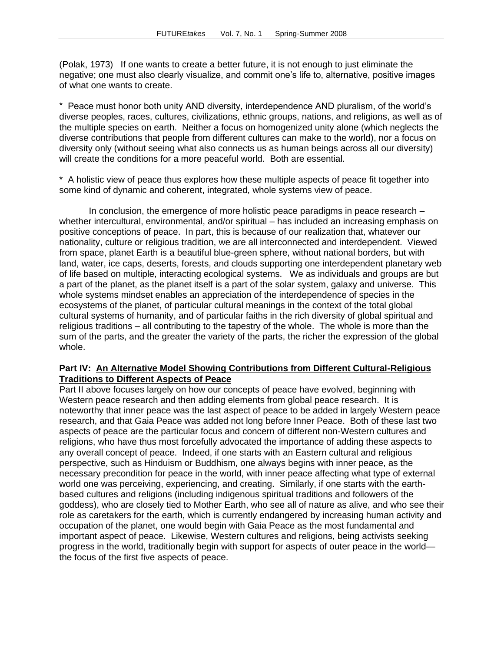(Polak, 1973) If one wants to create a better future, it is not enough to just eliminate the negative; one must also clearly visualize, and commit one's life to, alternative, positive images of what one wants to create.

\* Peace must honor both unity AND diversity, interdependence AND pluralism, of the world's diverse peoples, races, cultures, civilizations, ethnic groups, nations, and religions, as well as of the multiple species on earth. Neither a focus on homogenized unity alone (which neglects the diverse contributions that people from different cultures can make to the world), nor a focus on diversity only (without seeing what also connects us as human beings across all our diversity) will create the conditions for a more peaceful world. Both are essential.

\* A holistic view of peace thus explores how these multiple aspects of peace fit together into some kind of dynamic and coherent, integrated, whole systems view of peace.

In conclusion, the emergence of more holistic peace paradigms in peace research – whether intercultural, environmental, and/or spiritual – has included an increasing emphasis on positive conceptions of peace. In part, this is because of our realization that, whatever our nationality, culture or religious tradition, we are all interconnected and interdependent. Viewed from space, planet Earth is a beautiful blue-green sphere, without national borders, but with land, water, ice caps, deserts, forests, and clouds supporting one interdependent planetary web of life based on multiple, interacting ecological systems. We as individuals and groups are but a part of the planet, as the planet itself is a part of the solar system, galaxy and universe. This whole systems mindset enables an appreciation of the interdependence of species in the ecosystems of the planet, of particular cultural meanings in the context of the total global cultural systems of humanity, and of particular faiths in the rich diversity of global spiritual and religious traditions – all contributing to the tapestry of the whole. The whole is more than the sum of the parts, and the greater the variety of the parts, the richer the expression of the global whole.

# **Part IV: An Alternative Model Showing Contributions from Different Cultural-Religious Traditions to Different Aspects of Peace**

Part II above focuses largely on how our concepts of peace have evolved, beginning with Western peace research and then adding elements from global peace research. It is noteworthy that inner peace was the last aspect of peace to be added in largely Western peace research, and that Gaia Peace was added not long before Inner Peace. Both of these last two aspects of peace are the particular focus and concern of different non-Western cultures and religions, who have thus most forcefully advocated the importance of adding these aspects to any overall concept of peace. Indeed, if one starts with an Eastern cultural and religious perspective, such as Hinduism or Buddhism, one always begins with inner peace, as the necessary precondition for peace in the world, with inner peace affecting what type of external world one was perceiving, experiencing, and creating. Similarly, if one starts with the earthbased cultures and religions (including indigenous spiritual traditions and followers of the goddess), who are closely tied to Mother Earth, who see all of nature as alive, and who see their role as caretakers for the earth, which is currently endangered by increasing human activity and occupation of the planet, one would begin with Gaia Peace as the most fundamental and important aspect of peace. Likewise, Western cultures and religions, being activists seeking progress in the world, traditionally begin with support for aspects of outer peace in the world the focus of the first five aspects of peace.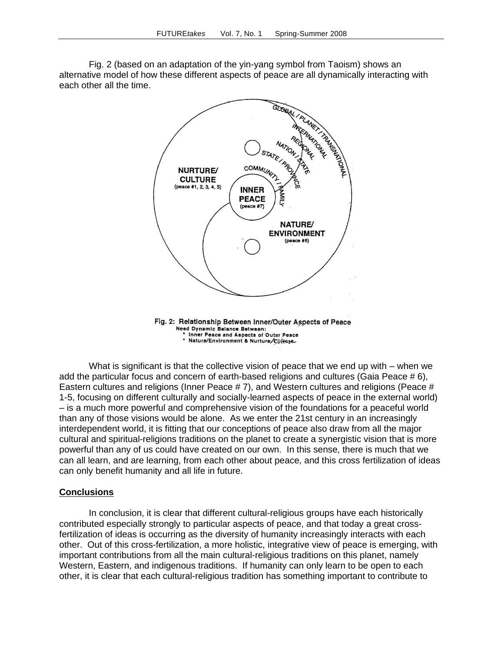Fig. 2 (based on an adaptation of the yin-yang symbol from Taoism) shows an alternative model of how these different aspects of peace are all dynamically interacting with each other all the time.



What is significant is that the collective vision of peace that we end up with – when we add the particular focus and concern of earth-based religions and cultures (Gaia Peace  $# 6$ ), Eastern cultures and religions (Inner Peace #7), and Western cultures and religions (Peace # 1-5, focusing on different culturally and socially-learned aspects of peace in the external world) – is a much more powerful and comprehensive vision of the foundations for a peaceful world than any of those visions would be alone. As we enter the 21st century in an increasingly interdependent world, it is fitting that our conceptions of peace also draw from all the major cultural and spiritual-religions traditions on the planet to create a synergistic vision that is more powerful than any of us could have created on our own. In this sense, there is much that we can all learn, and are learning, from each other about peace, and this cross fertilization of ideas can only benefit humanity and all life in future.

#### **Conclusions**

In conclusion, it is clear that different cultural-religious groups have each historically contributed especially strongly to particular aspects of peace, and that today a great crossfertilization of ideas is occurring as the diversity of humanity increasingly interacts with each other. Out of this cross-fertilization, a more holistic, integrative view of peace is emerging, with important contributions from all the main cultural-religious traditions on this planet, namely Western, Eastern, and indigenous traditions. If humanity can only learn to be open to each other, it is clear that each cultural-religious tradition has something important to contribute to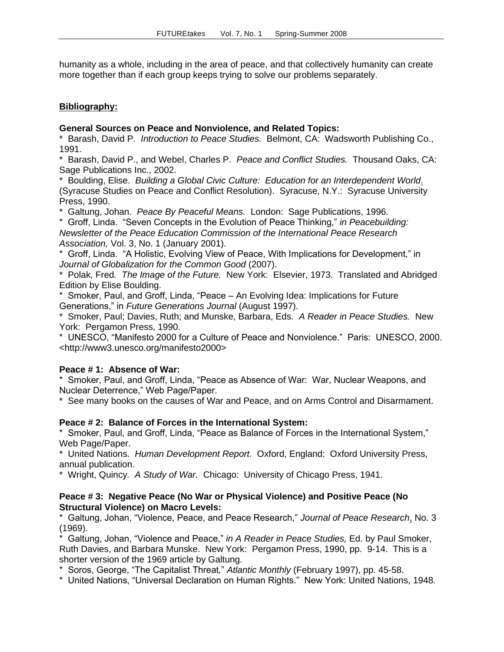humanity as a whole, including in the area of peace, and that collectively humanity can create more together than if each group keeps trying to solve our problems separately.

# **Bibliography:**

#### **General Sources on Peace and Nonviolence, and Related Topics:**

\* Barash, David P. *Introduction to Peace Studies.* Belmont, CA: Wadsworth Publishing Co., 1991.

\* Barash, David P., and Webel, Charles P. *Peace and Conflict Studies.* Thousand Oaks, CA: Sage Publications Inc., 2002.

\* Boulding, Elise. *Building a Global Civic Culture: Education for an Interdependent World*. (Syracuse Studies on Peace and Conflict Resolution). Syracuse, N.Y.: Syracuse University Press, 1990.

\* Galtung, Johan. *Peace By Peaceful Means.* London: Sage Publications, 1996.

\* Groff, Linda. ―Seven Concepts in the Evolution of Peace Thinking,‖ *in Peacebuilding: Newsletter of the Peace Education Commission of the International Peace Research Association,* Vol. 3, No. 1 (January 2001).

\* Groff, Linda. "A Holistic, Evolving View of Peace, With Implications for Development," in *Journal of Globalization for the Common Good* (2007).

\* Polak, Fred*. The Image of the Future.* New York: Elsevier, 1973. Translated and Abridged Edition by Elise Boulding.

\* Smoker, Paul, and Groff, Linda, "Peace – An Evolving Idea: Implications for Future Generations,‖ in *Future Generations Journal* (August 1997).

\* Smoker, Paul; Davies, Ruth; and Munske, Barbara, Eds*. A Reader in Peace Studies.* New York: Pergamon Press, 1990.

\* UNESCO, "Manifesto 2000 for a Culture of Peace and Nonviolence." Paris: UNESCO, 2000. <http://www3.unesco.org/manifesto2000>

#### **Peace # 1: Absence of War:**

\* Smoker, Paul, and Groff, Linda, "Peace as Absence of War: War, Nuclear Weapons, and Nuclear Deterrence," Web Page/Paper.

\* See many books on the causes of War and Peace, and on Arms Control and Disarmament.

#### **Peace # 2: Balance of Forces in the International System:**

\* Smoker, Paul, and Groff, Linda, "Peace as Balance of Forces in the International System," Web Page/Paper.

\* United Nations. *Human Development Report.* Oxford, England: Oxford University Press, annual publication.

\* Wright, Quincy*. A Study of War.* Chicago: University of Chicago Press, 1941.

# **Peace # 3: Negative Peace (No War or Physical Violence) and Positive Peace (No Structural Violence) on Macro Levels:**

\* Galtung, Johan, ―Violence, Peace, and Peace Research,‖ *Journal of Peace Research*, No. 3 (1969).

\* Galtung, Johan, ―Violence and Peace,‖ *in A Reader in Peace Studies,* Ed. by Paul Smoker, Ruth Davies, and Barbara Munske. New York: Pergamon Press, 1990, pp. 9-14. This is a shorter version of the 1969 article by Galtung.

\* Soros, George, ―The Capitalist Threat*,*‖ *Atlantic Monthly* (February 1997), pp. 45-58.

\* United Nations, ―Universal Declaration on Human Rights.‖ New York: United Nations, 1948.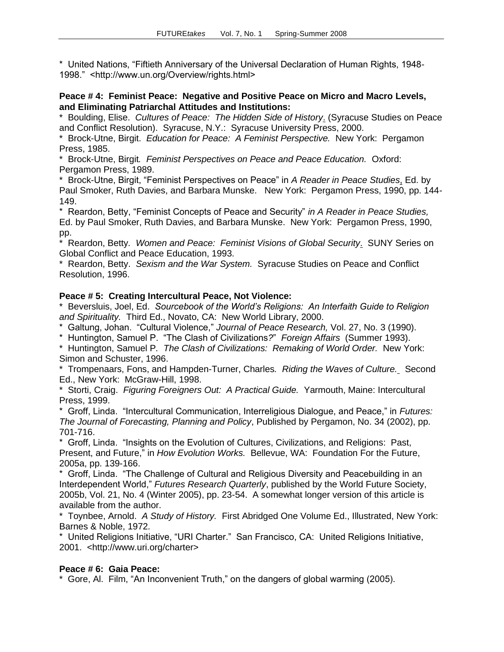\* United Nations, "Fiftieth Anniversary of the Universal Declaration of Human Rights, 1948-1998.‖ <http://www.un.org/Overview/rights.html>

# **Peace # 4: Feminist Peace: Negative and Positive Peace on Micro and Macro Levels, and Eliminating Patriarchal Attitudes and Institutions:**

\* Boulding, Elise. *Cultures of Peace: The Hidden Side of History*. (Syracuse Studies on Peace and Conflict Resolution). Syracuse, N.Y.: Syracuse University Press, 2000.

\* Brock-Utne, Birgit. *Education for Peace: A Feminist Perspective.* New York: Pergamon Press, 1985.

\* Brock-Utne, Birgit*. Feminist Perspectives on Peace and Peace Education.* Oxford: Pergamon Press, 1989.

\* Brock-Utne, Birgit, "Feminist Perspectives on Peace" in *A Reader in Peace Studies*, Ed. by Paul Smoker, Ruth Davies, and Barbara Munske. New York: Pergamon Press, 1990, pp. 144- 149.

\* Reardon, Betty, ―Feminist Concepts of Peace and Security‖ *in A Reader in Peace Studies,* Ed. by Paul Smoker, Ruth Davies, and Barbara Munske. New York: Pergamon Press, 1990, pp.

\* Reardon, Betty*. Women and Peace: Feminist Visions of Global Security*. SUNY Series on Global Conflict and Peace Education, 1993.

\* Reardon, Betty. *Sexism and the War System.* Syracuse Studies on Peace and Conflict Resolution, 1996.

# **Peace # 5: Creating Intercultural Peace, Not Violence:**

\* Beversluis, Joel, Ed. *Sourcebook of the World's Religions: An Interfaith Guide to Religion and Spirituality.* Third Ed., Novato, CA: New World Library, 2000.

\* Galtung, Johan. ―Cultural Violence,‖ *Journal of Peace Research,* Vol. 27, No. 3 (1990).

\* Huntington, Samuel P. ―The Clash of Civilizations*?*‖ *Foreign Affairs* (Summer 1993).

\* Huntington, Samuel P*. The Clash of Civilizations: Remaking of World Order.* New York: Simon and Schuster, 1996.

\* Trompenaars, Fons, and Hampden-Turner, Charles*. Riding the Waves of Culture.* Second Ed., New York: McGraw-Hill, 1998.

\* Storti, Craig. *Figuring Foreigners Out: A Practical Guide.* Yarmouth, Maine: Intercultural Press, 1999.

\* Groff, Linda. ―Intercultural Communication, Interreligious Dialogue, and Peace,‖ in *Futures: The Journal of Forecasting, Planning and Policy*, Published by Pergamon, No. 34 (2002), pp. 701-716.

\* Groff, Linda. ―Insights on the Evolution of Cultures, Civilizations, and Religions: Past, Present, and Future," in *How Evolution Works.* Bellevue, WA: Foundation For the Future, 2005a, pp. 139-166.

\* Groff, Linda. "The Challenge of Cultural and Religious Diversity and Peacebuilding in an Interdependent World," Futures Research Quarterly, published by the World Future Society, 2005b, Vol. 21, No. 4 (Winter 2005), pp. 23-54. A somewhat longer version of this article is available from the author.

\* Toynbee, Arnold. *A Study of History.* First Abridged One Volume Ed., Illustrated, New York: Barnes & Noble, 1972.

\* United Religions Initiative, "URI Charter." San Francisco, CA: United Religions Initiative, 2001. <http://www.uri.org/charter>

# **Peace # 6: Gaia Peace:**

\* Gore, Al. Film, "An Inconvenient Truth," on the dangers of global warming (2005).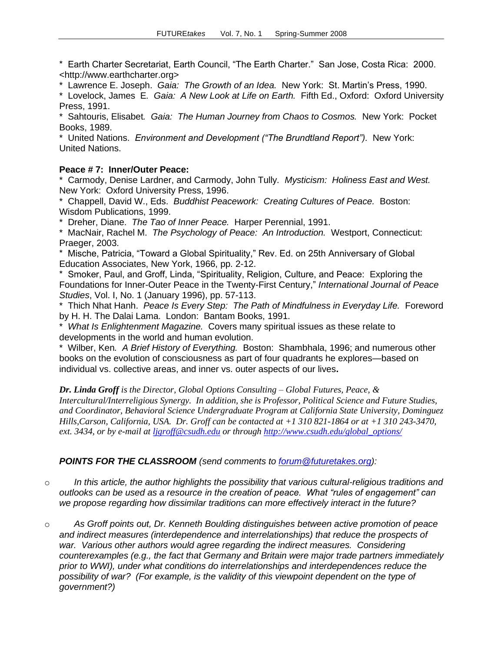\* Earth Charter Secretariat, Earth Council, "The Earth Charter." San Jose, Costa Rica: 2000. <http://www.earthcharter.org>

\* Lawrence E. Joseph. *Gaia: The Growth of an Idea.* New York: St. Martin's Press, 1990.

\* Lovelock, James E*. Gaia: A New Look at Life on Earth.* Fifth Ed., Oxford: Oxford University Press, 1991.

\* Sahtouris, Elisabet*. Gaia: The Human Journey from Chaos to Cosmos.* New York: Pocket Books, 1989.

\* United Nations. *Environment and Development ("The Brundtland Report").* New York: United Nations.

# **Peace # 7: Inner/Outer Peace:**

\* Carmody, Denise Lardner, and Carmody, John Tully*. Mysticism: Holiness East and West.* New York: Oxford University Press, 1996.

\* Chappell, David W., Eds. *Buddhist Peacework: Creating Cultures of Peace.* Boston: Wisdom Publications, 1999.

\* Dreher, Diane. *The Tao of Inner Peace.* Harper Perennial, 1991.

\* MacNair, Rachel M. *The Psychology of Peace: An Introduction.* Westport, Connecticut: Praeger, 2003.

\* Mische, Patricia, "Toward a Global Spirituality," Rev. Ed. on 25th Anniversary of Global Education Associates, New York, 1966, pp. 2-12.

\* Smoker, Paul, and Groff, Linda, "Spirituality, Religion, Culture, and Peace: Exploring the Foundations for Inner-Outer Peace in the Twenty-First Century,‖ *International Journal of Peace Studies*, Vol. I, No. 1 (January 1996), pp. 57-113.

\* Thich Nhat Hanh. *Peace Is Every Step: The Path of Mindfulness in Everyday Life.* Foreword by H. H. The Dalai Lama. London: Bantam Books, 1991.

\* *What Is Enlightenment Magazine.* Covers many spiritual issues as these relate to developments in the world and human evolution.

\* Wilber, Ken*. A Brief History of Everything.* Boston: Shambhala, 1996; and numerous other books on the evolution of consciousness as part of four quadrants he explores—based on individual vs. collective areas, and inner vs. outer aspects of our lives**.**

*Dr. Linda Groff is the Director, Global Options Consulting – Global Futures, Peace, & Intercultural/Interreligious Synergy. In addition, she is Professor, Political Science and Future Studies, and Coordinator, Behavioral Science Undergraduate Program at California State University, Dominguez Hills,Carson, California, USA. Dr. Groff can be contacted at +1 310 821-1864 or at +1 310 243-3470, ext. 3434, or by e-mail at [ljgroff@csudh.edu](mailto:ljgroff@csudh.edu) or through [http://www.csudh.edu/global\\_options/](http://www.csudh.edu/global_options/)*

# *POINTS FOR THE CLASSROOM (send comments to [forum@futuretakes.org\)](mailto:forum@futuretakes.org):*

o *In this article, the author highlights the possibility that various cultural-religious traditions and outlooks can be used as a resource in the creation of peace. What "rules of engagement" can we propose regarding how dissimilar traditions can more effectively interact in the future?*

o *As Groff points out, Dr. Kenneth Boulding distinguishes between active promotion of peace and indirect measures (interdependence and interrelationships) that reduce the prospects of war. Various other authors would agree regarding the indirect measures. Considering counterexamples (e.g., the fact that Germany and Britain were major trade partners immediately prior to WWI), under what conditions do interrelationships and interdependences reduce the possibility of war? (For example, is the validity of this viewpoint dependent on the type of government?)*